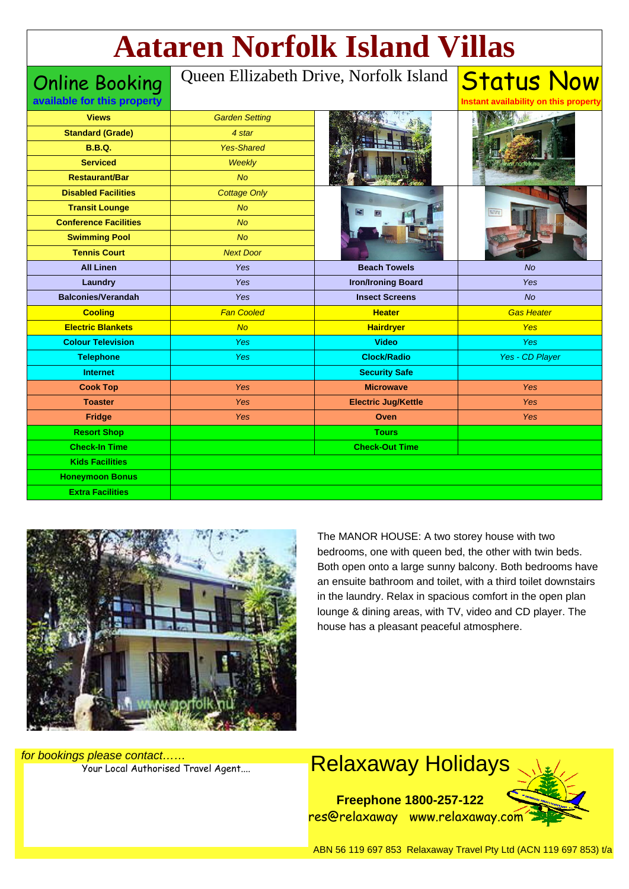# **Aataren Norfolk Island Villas**

Online Booking

#### Queen Ellizabeth Drive, Norfolk Island

| available for this property  |                       |                            | Instant availability on this property |
|------------------------------|-----------------------|----------------------------|---------------------------------------|
| <b>Views</b>                 | <b>Garden Setting</b> |                            |                                       |
| <b>Standard (Grade)</b>      | 4 star                |                            |                                       |
| <b>B.B.Q.</b>                | <b>Yes-Shared</b>     |                            |                                       |
| <b>Serviced</b>              | Weekly                |                            |                                       |
| <b>Restaurant/Bar</b>        | No                    |                            |                                       |
| <b>Disabled Facilities</b>   | <b>Cottage Only</b>   |                            |                                       |
| <b>Transit Lounge</b>        | <b>No</b>             |                            |                                       |
| <b>Conference Facilities</b> | <b>No</b>             |                            |                                       |
| <b>Swimming Pool</b>         | <b>No</b>             |                            |                                       |
| <b>Tennis Court</b>          | <b>Next Door</b>      |                            |                                       |
| <b>All Linen</b>             | Yes                   | <b>Beach Towels</b>        | <b>No</b>                             |
| Laundry                      | Yes                   | <b>Iron/Ironing Board</b>  | Yes                                   |
| <b>Balconies/Verandah</b>    | Yes                   | <b>Insect Screens</b>      | <b>No</b>                             |
| <b>Cooling</b>               | <b>Fan Cooled</b>     | <b>Heater</b>              | <b>Gas Heater</b>                     |
| <b>Electric Blankets</b>     | No                    | <b>Hairdryer</b>           | Yes                                   |
| <b>Colour Television</b>     | Yes                   | <b>Video</b>               | Yes                                   |
| <b>Telephone</b>             | <b>Yes</b>            | <b>Clock/Radio</b>         | Yes - CD Player                       |
| <b>Internet</b>              |                       | <b>Security Safe</b>       |                                       |
| <b>Cook Top</b>              | <b>Yes</b>            | <b>Microwave</b>           | <b>Yes</b>                            |
| <b>Toaster</b>               | <b>Yes</b>            | <b>Electric Jug/Kettle</b> | <b>Yes</b>                            |
| <b>Fridge</b>                | Yes                   | Oven                       | Yes                                   |
| <b>Resort Shop</b>           |                       | <b>Tours</b>               |                                       |
| <b>Check-In Time</b>         |                       | <b>Check-Out Time</b>      |                                       |
| <b>Kids Facilities</b>       |                       |                            |                                       |
| <b>Honeymoon Bonus</b>       |                       |                            |                                       |
| <b>Extra Facilities</b>      |                       |                            |                                       |
|                              |                       |                            |                                       |



The MANOR HOUSE: A two storey house with two bedrooms, one with queen bed, the other with twin beds. Both open onto a large sunny balcony. Both bedrooms have an ensuite bathroom and toilet, with a third toilet downstairs in the laundry. Relax in spacious comfort in the open plan lounge & dining areas, with TV, video and CD player. The house has a pleasant peaceful atmosphere.

**Status Now** 

for bookings please contact……